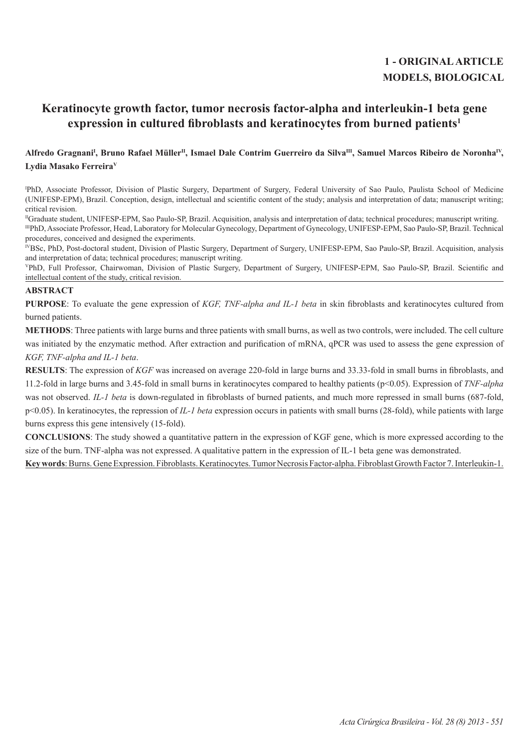# **1 - ORIGINAL ARTICLE MODELS, BIOLOGICAL**

## **Keratinocyte growth factor, tumor necrosis factor-alpha and interleukin-1 beta gene expression in cultured fibroblasts and keratinocytes from burned patients<sup>1</sup>**

## Alfredo Gragnani<sup>ı</sup>, Bruno Rafael Müller<sup>ıı</sup>, Ismael Dale Contrim Guerreiro da Silva<sup>ın</sup>, Samuel Marcos Ribeiro de Noronha<sup>ıv</sup>, **Lydia Masako FerreiraV**

I PhD, Associate Professor, Division of Plastic Surgery, Department of Surgery, Federal University of Sao Paulo, Paulista School of Medicine (UNIFESP-EPM), Brazil. Conception, design, intellectual and scientific content of the study; analysis and interpretation of data; manuscript writing; critical revision.

IIGraduate student, UNIFESP-EPM, Sao Paulo-SP, Brazil. Acquisition, analysis and interpretation of data; technical procedures; manuscript writing. IIIPhD, Associate Professor, Head, Laboratory for Molecular Gynecology, Department of Gynecology, UNIFESP-EPM, Sao Paulo-SP, Brazil. Technical procedures, conceived and designed the experiments.

<sup>IV</sup>BSc, PhD, Post-doctoral student, Division of Plastic Surgery, Department of Surgery, UNIFESP-EPM, Sao Paulo-SP, Brazil. Acquisition, analysis and interpretation of data; technical procedures; manuscript writing.

<sup>V</sup>PhD, Full Professor, Chairwoman, Division of Plastic Surgery, Department of Surgery, UNIFESP-EPM, Sao Paulo-SP, Brazil. Scientific and intellectual content of the study, critical revision.

## **ABSTRACT**

**PURPOSE**: To evaluate the gene expression of *KGF, TNF-alpha and IL-1 beta* in skin fibroblasts and keratinocytes cultured from burned patients.

**METHODS**: Three patients with large burns and three patients with small burns, as well as two controls, were included. The cell culture was initiated by the enzymatic method. After extraction and purification of mRNA, qPCR was used to assess the gene expression of *KGF, TNF-alpha and IL-1 beta*.

**RESULTS**: The expression of *KGF* was increased on average 220-fold in large burns and 33.33-fold in small burns in fibroblasts, and 11.2-fold in large burns and 3.45-fold in small burns in keratinocytes compared to healthy patients (p<0.05). Expression of *TNF-alpha* was not observed. *IL-1 beta* is down-regulated in fibroblasts of burned patients, and much more repressed in small burns (687-fold, p<0.05). In keratinocytes, the repression of *IL-1 beta* expression occurs in patients with small burns (28-fold), while patients with large burns express this gene intensively (15-fold).

**CONCLUSIONS**: The study showed a quantitative pattern in the expression of KGF gene, which is more expressed according to the size of the burn. TNF-alpha was not expressed. A qualitative pattern in the expression of IL-1 beta gene was demonstrated.

Key words: Burns. Gene Expression. Fibroblasts. Keratinocytes. Tumor Necrosis Factor-alpha. Fibroblast Growth Factor 7. Interleukin-1.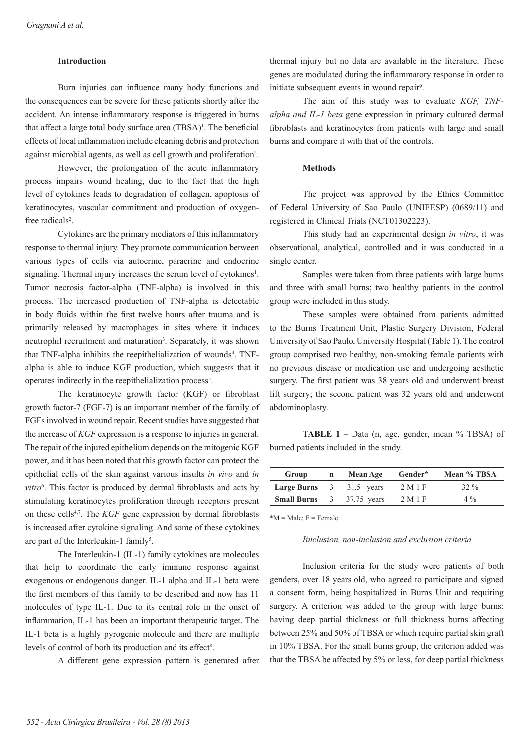## **Introduction**

Burn injuries can influence many body functions and the consequences can be severe for these patients shortly after the accident. An intense inflammatory response is triggered in burns that affect a large total body surface area (TBSA)<sup>1</sup>. The beneficial effects of local inflammation include cleaning debris and protection against microbial agents, as well as cell growth and proliferation<sup>2</sup>.

However, the prolongation of the acute inflammatory process impairs wound healing, due to the fact that the high level of cytokines leads to degradation of collagen, apoptosis of keratinocytes, vascular commitment and production of oxygenfree radicals<sup>2</sup>.

Cytokines are the primary mediators of this inflammatory response to thermal injury. They promote communication between various types of cells via autocrine, paracrine and endocrine signaling. Thermal injury increases the serum level of cytokines<sup>1</sup>. Tumor necrosis factor-alpha (TNF-alpha) is involved in this process. The increased production of TNF-alpha is detectable in body fluids within the first twelve hours after trauma and is primarily released by macrophages in sites where it induces neutrophil recruitment and maturation<sup>3</sup>. Separately, it was shown that TNF-alpha inhibits the reepithelialization of wounds<sup>4</sup>. TNFalpha is able to induce KGF production, which suggests that it operates indirectly in the reepithelialization process<sup>5</sup>.

The keratinocyte growth factor (KGF) or fibroblast growth factor-7 (FGF-7) is an important member of the family of FGFs involved in wound repair. Recent studies have suggested that the increase of *KGF* expression is a response to injuries in general. The repair of the injured epithelium depends on the mitogenic KGF power, and it has been noted that this growth factor can protect the epithelial cells of the skin against various insults *in vivo* and *in*  vitro<sup>6</sup>. This factor is produced by dermal fibroblasts and acts by stimulating keratinocytes proliferation through receptors present on these cells4,7. The *KGF* gene expression by dermal fibroblasts is increased after cytokine signaling. And some of these cytokines are part of the Interleukin-1 family<sup>5</sup>.

The Interleukin-1 (IL-1) family cytokines are molecules that help to coordinate the early immune response against exogenous or endogenous danger. IL-1 alpha and IL-1 beta were the first members of this family to be described and now has 11 molecules of type IL-1. Due to its central role in the onset of inflammation, IL-1 has been an important therapeutic target. The IL-1 beta is a highly pyrogenic molecule and there are multiple levels of control of both its production and its effect<sup>8</sup>.

A different gene expression pattern is generated after

thermal injury but no data are available in the literature. These genes are modulated during the inflammatory response in order to initiate subsequent events in wound repair<sup>9</sup>.

The aim of this study was to evaluate *KGF, TNFalpha and IL-1 beta* gene expression in primary cultured dermal fibroblasts and keratinocytes from patients with large and small burns and compare it with that of the controls.

#### **Methods**

The project was approved by the Ethics Committee of Federal University of Sao Paulo (UNIFESP) (0689/11) and registered in Clinical Trials (NCT01302223).

This study had an experimental design *in vitro*, it was observational, analytical, controlled and it was conducted in a single center.

Samples were taken from three patients with large burns and three with small burns; two healthy patients in the control group were included in this study.

These samples were obtained from patients admitted to the Burns Treatment Unit, Plastic Surgery Division, Federal University of Sao Paulo, University Hospital (Table 1). The control group comprised two healthy, non-smoking female patients with no previous disease or medication use and undergoing aesthetic surgery. The first patient was 38 years old and underwent breast lift surgery; the second patient was 32 years old and underwent abdominoplasty.

**TABLE 1** – Data (n, age, gender, mean % TBSA) of burned patients included in the study.

| Group              | n | Mean Age      | Gender* | Mean % TBSA |
|--------------------|---|---------------|---------|-------------|
| <b>Large Burns</b> |   | 3 31.5 years  | 2 M 1 F | $32\%$      |
| <b>Small Burns</b> |   | 3 37.75 years | 2 M 1 F | $4\%$       |

 $*M = Male; F = Female$ 

#### *Iinclusion, non-inclusion and exclusion criteria*

Inclusion criteria for the study were patients of both genders, over 18 years old, who agreed to participate and signed a consent form, being hospitalized in Burns Unit and requiring surgery. A criterion was added to the group with large burns: having deep partial thickness or full thickness burns affecting between 25% and 50% of TBSA or which require partial skin graft in 10% TBSA. For the small burns group, the criterion added was that the TBSA be affected by 5% or less, for deep partial thickness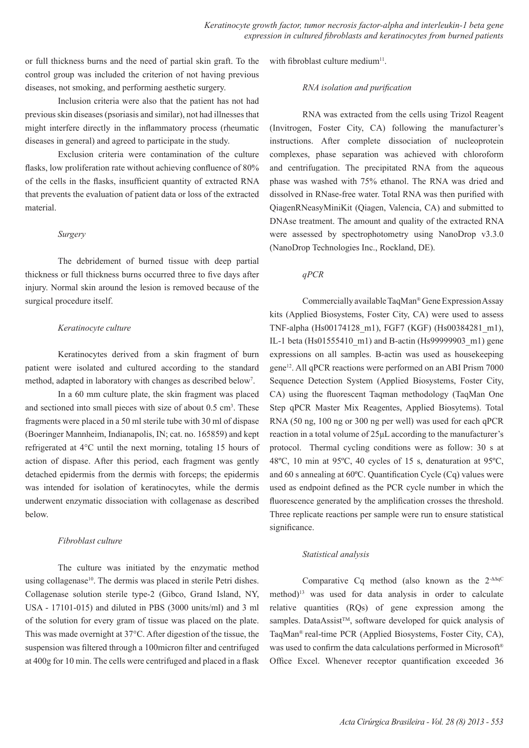or full thickness burns and the need of partial skin graft. To the control group was included the criterion of not having previous diseases, not smoking, and performing aesthetic surgery.

Inclusion criteria were also that the patient has not had previous skin diseases (psoriasis and similar), not had illnesses that might interfere directly in the inflammatory process (rheumatic diseases in general) and agreed to participate in the study.

Exclusion criteria were contamination of the culture flasks, low proliferation rate without achieving confluence of 80% of the cells in the flasks, insufficient quantity of extracted RNA that prevents the evaluation of patient data or loss of the extracted material.

## *Surgery*

The debridement of burned tissue with deep partial thickness or full thickness burns occurred three to five days after injury. Normal skin around the lesion is removed because of the surgical procedure itself.

#### *Keratinocyte culture*

Keratinocytes derived from a skin fragment of burn patient were isolated and cultured according to the standard method, adapted in laboratory with changes as described below<sup>7</sup>.

In a 60 mm culture plate, the skin fragment was placed and sectioned into small pieces with size of about  $0.5 \text{ cm}^3$ . These fragments were placed in a 50 ml sterile tube with 30 ml of dispase (Boeringer Mannheim, Indianapolis, IN; cat. no. 165859) and kept refrigerated at 4°C until the next morning, totaling 15 hours of action of dispase. After this period, each fragment was gently detached epidermis from the dermis with forceps; the epidermis was intended for isolation of keratinocytes, while the dermis underwent enzymatic dissociation with collagenase as described below.

## *Fibroblast culture*

The culture was initiated by the enzymatic method using collagenase<sup>10</sup>. The dermis was placed in sterile Petri dishes. Collagenase solution sterile type-2 (Gibco, Grand Island, NY, USA - 17101-015) and diluted in PBS (3000 units/ml) and 3 ml of the solution for every gram of tissue was placed on the plate. This was made overnight at 37°C. After digestion of the tissue, the suspension was filtered through a 100micron filter and centrifuged at 400g for 10 min. The cells were centrifuged and placed in a flask with fibroblast culture medium<sup>11</sup>.

#### *RNA isolation and purification*

RNA was extracted from the cells using Trizol Reagent (Invitrogen, Foster City, CA) following the manufacturer's instructions. After complete dissociation of nucleoprotein complexes, phase separation was achieved with chloroform and centrifugation. The precipitated RNA from the aqueous phase was washed with 75% ethanol. The RNA was dried and dissolved in RNase-free water. Total RNA was then purified with QiagenRNeasyMiniKit (Qiagen, Valencia, CA) and submitted to DNAse treatment. The amount and quality of the extracted RNA were assessed by spectrophotometry using NanoDrop v3.3.0 (NanoDrop Technologies Inc., Rockland, DE).

*qPCR*

Commercially available TaqMan® Gene Expression Assay kits (Applied Biosystems, Foster City, CA) were used to assess TNF-alpha (Hs00174128\_m1), FGF7 (KGF) (Hs00384281\_m1), IL-1 beta (Hs01555410\_m1) and B-actin (Hs99999903\_m1) gene expressions on all samples. B-actin was used as housekeeping gene12. All qPCR reactions were performed on an ABI Prism 7000 Sequence Detection System (Applied Biosystems, Foster City, CA) using the fluorescent Taqman methodology (TaqMan One Step qPCR Master Mix Reagentes, Applied Biosytems). Total RNA (50 ng, 100 ng or 300 ng per well) was used for each qPCR reaction in a total volume of 25μL according to the manufacturer's protocol. Thermal cycling conditions were as follow: 30 s at 48ºC, 10 min at 95ºC, 40 cycles of 15 s, denaturation at 95ºC, and 60 s annealing at 60ºC. Quantification Cycle (Cq) values were used as endpoint defined as the PCR cycle number in which the fluorescence generated by the amplification crosses the threshold. Three replicate reactions per sample were run to ensure statistical significance.

#### *Statistical analysis*

Comparative Cq method (also known as the  $2^{-AAqC}$ method)<sup>13</sup> was used for data analysis in order to calculate relative quantities (RQs) of gene expression among the samples. DataAssist™, software developed for quick analysis of TaqMan® real-time PCR (Applied Biosystems, Foster City, CA), was used to confirm the data calculations performed in Microsoft® Office Excel. Whenever receptor quantification exceeded 36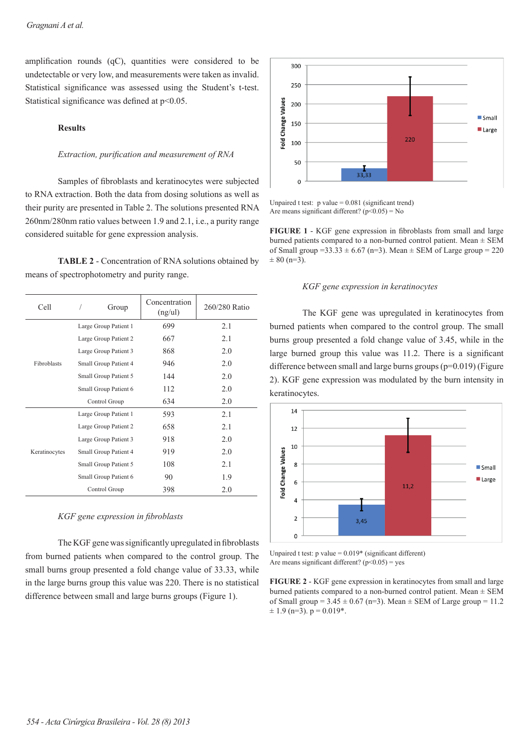amplification rounds  $(qC)$ , quantities were considered to be undetectable or very low, and measurements were taken as invalid. Statistical significance was assessed using the Student's t-test. Statistical significance was defined at  $p<0.05$ .

## **Results**

### *Extraction, purification and measurement of RNA*

Samples of fibroblasts and keratinocytes were subjected to RNA extraction. Both the data from dosing solutions as well as their purity are presented in Table 2. The solutions presented RNA 260nm/280nm ratio values between 1.9 and 2.1, i.e., a purity range considered suitable for gene expression analysis.

**TABLE 2** - Concentration of RNA solutions obtained by means of spectrophotometry and purity range.

| Cell          | Group                 | Concentration<br>(ng/ul) | 260/280 Ratio |
|---------------|-----------------------|--------------------------|---------------|
| Fibroblasts   | Large Group Patient 1 | 699                      | 2.1           |
|               | Large Group Patient 2 | 667                      | 2.1           |
|               | Large Group Patient 3 | 868                      | 2.0           |
|               | Small Group Patient 4 | 946                      | 2.0           |
|               | Small Group Patient 5 | 144                      | 2.0           |
|               | Small Group Patient 6 | 112                      | 2.0           |
|               | Control Group         | 634                      | 2.0           |
| Keratinocytes | Large Group Patient 1 | 593                      | 2.1           |
|               | Large Group Patient 2 | 658                      | 2.1           |
|               | Large Group Patient 3 | 918                      | 2.0           |
|               | Small Group Patient 4 | 919                      | 2.0           |
|               | Small Group Patient 5 | 108                      | 2.1           |
|               | Small Group Patient 6 | 90                       | 1.9           |
|               | Control Group         | 398                      | 2.0           |

#### *KGF gene expression in fi broblasts*

The KGF gene was significantly upregulated in fibroblasts from burned patients when compared to the control group. The small burns group presented a fold change value of 33.33, while in the large burns group this value was 220. There is no statistical difference between small and large burns groups (Figure 1).



Unpaired t test:  $p$  value = 0.081 (significant trend) Are means significant different?  $(p<0.05) = No$ 

**FIGURE 1** - KGF gene expression in fibroblasts from small and large burned patients compared to a non-burned control patient. Mean ± SEM of Small group =33.33  $\pm$  6.67 (n=3). Mean  $\pm$  SEM of Large group = 220  $\pm 80$  (n=3).

## *KGF gene expression in keratinocytes*

The KGF gene was upregulated in keratinocytes from burned patients when compared to the control group. The small burns group presented a fold change value of 3.45, while in the large burned group this value was 11.2. There is a significant difference between small and large burns groups (p=0.019) (Figure 2). KGF gene expression was modulated by the burn intensity in keratinocytes.



Unpaired t test:  $p$  value =  $0.019*$  (significant different) Are means significant different?  $(p<0.05)$  = yes

**FIGURE 2** - KGF gene expression in keratinocytes from small and large burned patients compared to a non-burned control patient. Mean  $\pm$  SEM of Small group =  $3.45 \pm 0.67$  (n=3). Mean  $\pm$  SEM of Large group = 11.2  $\pm$  1.9 (n=3). p = 0.019<sup>\*</sup>.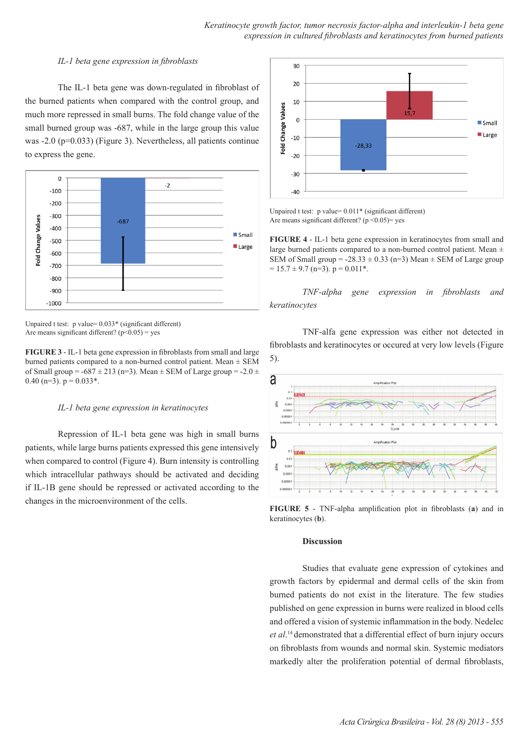### *IL-1 beta gene expression in fibroblasts*

The IL-1 beta gene was down-regulated in fibroblast of the burned patients when compared with the control group, and much more repressed in small burns. The fold change value of the small burned group was -687, while in the large group this value was -2.0 (p=0.033) (Figure 3). Nevertheless, all patients continue to express the gene.



Unpaired t test:  $p$  value=  $0.033*$  (significant different) Are means significant different? ( $p<0.05$ ) = yes

**FIGURE 3** - IL-1 beta gene expression in fibroblasts from small and large burned patients compared to a non-burned control patient. Mean  $\pm$  SEM of Small group =  $-687 \pm 213$  (n=3). Mean  $\pm$  SEM of Large group =  $-2.0 \pm$ 0.40 (n=3).  $p = 0.033$ <sup>\*</sup>.

#### *IL-1 beta gene expression in keratinocytes*

Repression of IL-1 beta gene was high in small burns patients, while large burns patients expressed this gene intensively when compared to control (Figure 4). Burn intensity is controlling which intracellular pathways should be activated and deciding if IL-1B gene should be repressed or activated according to the changes in the microenvironment of the cells.



Unpaired t test:  $p$  value=  $0.011*$  (significant different) Are means significant different? ( $p \le 0.05$ ) = yes

**FIGURE 4** - IL-1 beta gene expression in keratinocytes from small and large burned patients compared to a non-burned control patient. Mean  $\pm$ SEM of Small group =  $-28.33 \pm 0.33$  (n=3) Mean  $\pm$  SEM of Large group  $= 15.7 \pm 9.7$  (n=3). p = 0.011<sup>\*</sup>.

*TNF-alpha gene expression in fibroblasts and keratinocytes* 

TNF-alfa gene expression was either not detected in fibroblasts and keratinocytes or occured at very low levels (Figure 5).



**FIGURE 5** - TNF-alpha amplification plot in fibroblasts (a) and in keratinocytes (**b**).

#### **Discussion**

Studies that evaluate gene expression of cytokines and growth factors by epidermal and dermal cells of the skin from burned patients do not exist in the literature. The few studies published on gene expression in burns were realized in blood cells and offered a vision of systemic inflammation in the body. Nedelec *et al*. <sup>14</sup>demonstrated that a differential effect of burn injury occurs on fibroblasts from wounds and normal skin. Systemic mediators markedly alter the proliferation potential of dermal fibroblasts,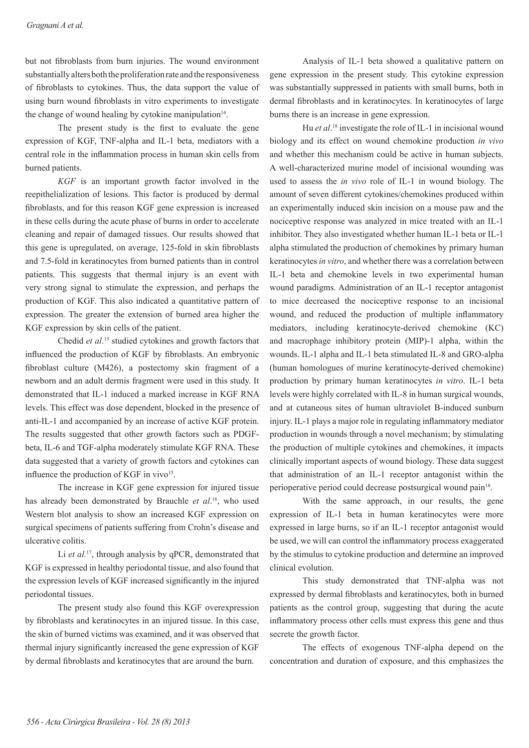but not fibroblasts from burn injuries. The wound environment substantially alters both the proliferation rate and the responsiveness of fibroblasts to cytokines. Thus, the data support the value of using burn wound fibroblasts in vitro experiments to investigate the change of wound healing by cytokine manipulation $14$ .

The present study is the first to evaluate the gene expression of KGF, TNF-alpha and IL-1 beta, mediators with a central role in the inflammation process in human skin cells from burned patients.

*KGF* is an important growth factor involved in the reepithelialization of lesions. This factor is produced by dermal fibroblasts, and for this reason KGF gene expression is increased in these cells during the acute phase of burns in order to accelerate cleaning and repair of damaged tissues. Our results showed that this gene is upregulated, on average, 125-fold in skin fibroblasts and 7.5-fold in keratinocytes from burned patients than in control patients. This suggests that thermal injury is an event with very strong signal to stimulate the expression, and perhaps the production of KGF. This also indicated a quantitative pattern of expression. The greater the extension of burned area higher the KGF expression by skin cells of the patient.

Chedid *et al*. 15 studied cytokines and growth factors that influenced the production of KGF by fibroblasts. An embryonic fibroblast culture (M426), a postectomy skin fragment of a newborn and an adult dermis fragment were used in this study. It demonstrated that IL-1 induced a marked increase in KGF RNA levels. This effect was dose dependent, blocked in the presence of anti-IL-1 and accompanied by an increase of active KGF protein. The results suggested that other growth factors such as PDGFbeta, IL-6 and TGF-alpha moderately stimulate KGF RNA. These data suggested that a variety of growth factors and cytokines can influence the production of KGF in vivo $15$ .

The increase in KGF gene expression for injured tissue has already been demonstrated by Brauchle *et al*. 16, who used Western blot analysis to show an increased KGF expression on surgical specimens of patients suffering from Crohn's disease and ulcerative colitis.

Li *et al.*<sup>17</sup>, through analysis by qPCR, demonstrated that KGF is expressed in healthy periodontal tissue, and also found that the expression levels of KGF increased significantly in the injured periodontal tissues.

The present study also found this KGF overexpression by fibroblasts and keratinocytes in an injured tissue. In this case, the skin of burned victims was examined, and it was observed that thermal injury significantly increased the gene expression of KGF by dermal fibroblasts and keratinocytes that are around the burn.

Analysis of IL-1 beta showed a qualitative pattern on gene expression in the present study. This cytokine expression was substantially suppressed in patients with small burns, both in dermal fibroblasts and in keratinocytes. In keratinocytes of large burns there is an increase in gene expression.

Hu *et al.*<sup>18</sup> investigate the role of IL-1 in incisional wound biology and its effect on wound chemokine production *in vivo* and whether this mechanism could be active in human subjects. A well-characterized murine model of incisional wounding was used to assess the *in vivo* role of IL-1 in wound biology. The amount of seven different cytokines/chemokines produced within an experimentally induced skin incision on a mouse paw and the nociceptive response was analyzed in mice treated with an IL-1 inhibitor. They also investigated whether human IL-1 beta or IL-1 alpha stimulated the production of chemokines by primary human keratinocytes *in vitro*, and whether there was a correlation between IL-1 beta and chemokine levels in two experimental human wound paradigms. Administration of an IL-1 receptor antagonist to mice decreased the nociceptive response to an incisional wound, and reduced the production of multiple inflammatory mediators, including keratinocyte-derived chemokine (KC) and macrophage inhibitory protein (MIP)-1 alpha, within the wounds. IL-1 alpha and IL-1 beta stimulated IL-8 and GRO-alpha (human homologues of murine keratinocyte-derived chemokine) production by primary human keratinocytes *in vitro*. IL-1 beta levels were highly correlated with IL-8 in human surgical wounds, and at cutaneous sites of human ultraviolet B-induced sunburn injury. IL-1 plays a major role in regulating inflammatory mediator production in wounds through a novel mechanism; by stimulating the production of multiple cytokines and chemokines, it impacts clinically important aspects of wound biology. These data suggest that administration of an IL-1 receptor antagonist within the perioperative period could decrease postsurgical wound pain<sup>18</sup>.

With the same approach, in our results, the gene expression of IL-1 beta in human keratinocytes were more expressed in large burns, so if an IL-1 receptor antagonist would be used, we will can control the inflammatory process exaggerated by the stimulus to cytokine production and determine an improved clinical evolution.

This study demonstrated that TNF-alpha was not expressed by dermal fibroblasts and keratinocytes, both in burned patients as the control group, suggesting that during the acute inflammatory process other cells must express this gene and thus secrete the growth factor.

The effects of exogenous TNF-alpha depend on the concentration and duration of exposure, and this emphasizes the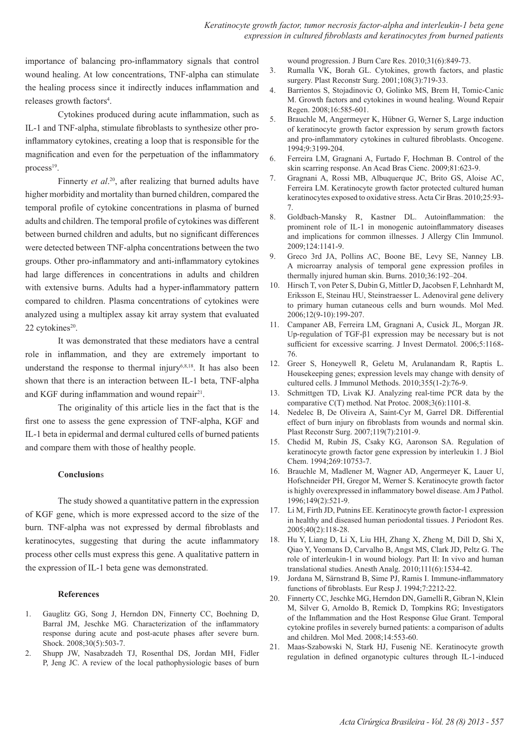importance of balancing pro-inflammatory signals that control wound healing. At low concentrations, TNF-alpha can stimulate the healing process since it indirectly induces inflammation and releases growth factors<sup>4</sup>.

Cytokines produced during acute inflammation, such as IL-1 and TNF-alpha, stimulate fibroblasts to synthesize other proinflammatory cytokines, creating a loop that is responsible for the magnification and even for the perpetuation of the inflammatory process $19$ .

Finnerty *et al*. <sup>20</sup>, after realizing that burned adults have higher morbidity and mortality than burned children, compared the temporal profile of cytokine concentrations in plasma of burned adults and children. The temporal profile of cytokines was different between burned children and adults, but no significant differences were detected between TNF-alpha concentrations between the two groups. Other pro-inflammatory and anti-inflammatory cytokines had large differences in concentrations in adults and children with extensive burns. Adults had a hyper-inflammatory pattern compared to children. Plasma concentrations of cytokines were analyzed using a multiplex assay kit array system that evaluated 22 cytokines<sup>20</sup>.

It was demonstrated that these mediators have a central role in inflammation, and they are extremely important to understand the response to thermal injury<sup>6,8,18</sup>. It has also been shown that there is an interaction between IL-1 beta, TNF-alpha and KGF during inflammation and wound repair<sup>21</sup>.

The originality of this article lies in the fact that is the first one to assess the gene expression of TNF-alpha, KGF and IL-1 beta in epidermal and dermal cultured cells of burned patients and compare them with those of healthy people.

## **Conclusion**s

The study showed a quantitative pattern in the expression of KGF gene, which is more expressed accord to the size of the burn. TNF-alpha was not expressed by dermal fibroblasts and keratinocytes, suggesting that during the acute inflammatory process other cells must express this gene. A qualitative pattern in the expression of IL-1 beta gene was demonstrated.

#### **References**

- 1. Gauglitz GG, Song J, Herndon DN, Finnerty CC, Boehning D, Barral JM, Jeschke MG. Characterization of the inflammatory response during acute and post-acute phases after severe burn. Shock. 2008;30(5):503-7.
- 2. Shupp JW, Nasabzadeh TJ, Rosenthal DS, Jordan MH, Fidler P, Jeng JC. A review of the local pathophysiologic bases of burn

wound progression. J Burn Care Res. 2010;31(6):849-73.

- 3. Rumalla VK, Borah GL. Cytokines, growth factors, and plastic surgery. Plast Reconstr Surg. 2001;108(3):719-33.
- 4. Barrientos S, Stojadinovic O, Golinko MS, Brem H, Tomic-Canic M. Growth factors and cytokines in wound healing. Wound Repair Regen. 2008;16:585-601.
- 5. Brauchle M, Angermeyer K, Hübner G, Werner S, Large induction of keratinocyte growth factor expression by serum growth factors and pro-inflammatory cytokines in cultured fibroblasts. Oncogene. 1994;9:3199-204.
- 6. Ferreira LM, Gragnani A, Furtado F, Hochman B. Control of the skin scarring response. An Acad Bras Cienc. 2009;81:623-9.
- 7. Gragnani A, Rossi MB, Albuquerque JC, Brito GS, Aloise AC, Ferreira LM. Keratinocyte growth factor protected cultured human keratinocytes exposed to oxidative stress. Acta Cir Bras. 2010;25:93- 7.
- 8. Goldbach-Mansky R, Kastner DL. Autoinflammation: the prominent role of IL-1 in monogenic autoinflammatory diseases and implications for common illnesses. J Allergy Clin Immunol. 2009;124:1141-9.
- 9. Greco 3rd JA, Pollins AC, Boone BE, Levy SE, Nanney LB. A microarray analysis of temporal gene expression profiles in thermally injured human skin. Burns. 2010;36:192–204.
- 10. Hirsch T, von Peter S, Dubin G, Mittler D, Jacobsen F, Lehnhardt M, Eriksson E, Steinau HU, Steinstraesser L. Adenoviral gene delivery to primary human cutaneous cells and burn wounds. Mol Med. 2006;12(9-10):199-207.
- 11. Campaner AB, Ferreira LM, Gragnani A, Cusick JL, Morgan JR. Up-regulation of TGF-β1 expression may be necessary but is not sufficient for excessive scarring. J Invest Dermatol. 2006;5:1168- 76.
- 12. Greer S, Honeywell R, Geletu M, Arulanandam R, Raptis L. Housekeeping genes; expression levels may change with density of cultured cells. J Immunol Methods. 2010;355(1-2):76-9.
- 13. Schmittgen TD, Livak KJ. Analyzing real-time PCR data by the comparative C(T) method. Nat Protoc. 2008;3(6):1101-8.
- 14. Nedelec B, De Oliveira A, Saint-Cyr M, Garrel DR. Differential effect of burn injury on fibroblasts from wounds and normal skin. Plast Reconstr Surg. 2007;119(7):2101-9.
- 15. Chedid M, Rubin JS, Csaky KG, Aaronson SA. Regulation of keratinocyte growth factor gene expression by interleukin 1. J Biol Chem. 1994;269:10753-7.
- 16. Brauchle M, Madlener M, Wagner AD, Angermeyer K, Lauer U, Hofschneider PH, Gregor M, Werner S. Keratinocyte growth factor is highly overexpressed in inflammatory bowel disease. Am J Pathol. 1996;149(2):521-9.
- 17. Li M, Firth JD, Putnins EE. Keratinocyte growth factor-1 expression in healthy and diseased human periodontal tissues. J Periodont Res. 2005;40(2):118-28.
- 18. Hu Y, Liang D, Li X, Liu HH, Zhang X, Zheng M, Dill D, Shi X, Qiao Y, Yeomans D, Carvalho B, Angst MS, Clark JD, Peltz G. The role of interleukin-1 in wound biology. Part II: In vivo and human translational studies. Anesth Analg. 2010;111(6):1534-42.
- 19. Jordana M, Särnstrand B, Sime PJ, Ramis I. Immune-inflammatory functions of fibroblasts. Eur Resp J. 1994;7:2212-22.
- 20. Finnerty CC, Jeschke MG, Herndon DN, Gamelli R, Gibran N, Klein M, Silver G, Arnoldo B, Remick D, Tompkins RG; Investigators of the Inflammation and the Host Response Glue Grant. Temporal cytokine profiles in severely burned patients: a comparison of adults and children. Mol Med. 2008;14:553-60.
- 21. Maas-Szabowski N, Stark HJ, Fusenig NE. Keratinocyte growth regulation in defined organotypic cultures through IL-1-induced